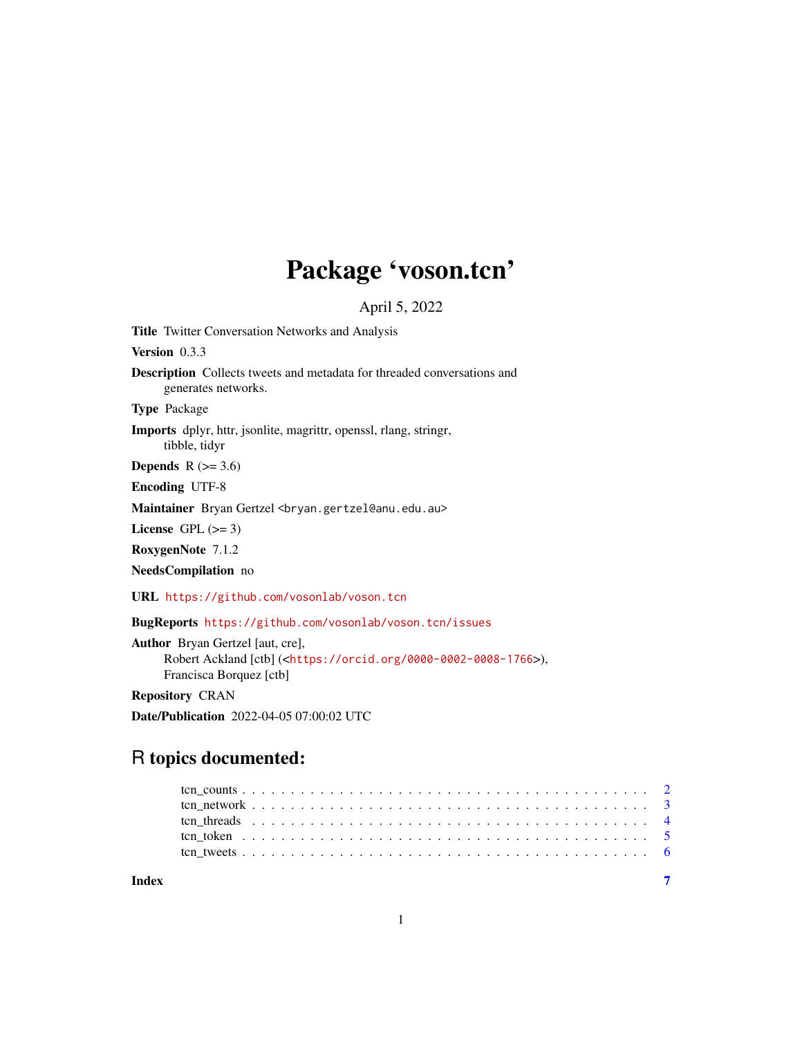## Package 'voson.tcn'

April 5, 2022

Title Twitter Conversation Networks and Analysis Version 0.3.3 Description Collects tweets and metadata for threaded conversations and generates networks. Type Package Imports dplyr, httr, jsonlite, magrittr, openssl, rlang, stringr, tibble, tidyr Depends  $R$  ( $>= 3.6$ ) Encoding UTF-8 Maintainer Bryan Gertzel <br/>bryan.gertzel@anu.edu.au> License GPL  $(>= 3)$ RoxygenNote 7.1.2 NeedsCompilation no URL <https://github.com/vosonlab/voson.tcn>

BugReports <https://github.com/vosonlab/voson.tcn/issues>

Author Bryan Gertzel [aut, cre], Robert Ackland [ctb] (<<https://orcid.org/0000-0002-0008-1766>>), Francisca Borquez [ctb]

Repository CRAN

Date/Publication 2022-04-05 07:00:02 UTC

## R topics documented:

| Index |  |  |  |  |  |  |  |  |  |  |  |  |  |  |  |  |  |  |  |  |
|-------|--|--|--|--|--|--|--|--|--|--|--|--|--|--|--|--|--|--|--|--|
|       |  |  |  |  |  |  |  |  |  |  |  |  |  |  |  |  |  |  |  |  |
|       |  |  |  |  |  |  |  |  |  |  |  |  |  |  |  |  |  |  |  |  |
|       |  |  |  |  |  |  |  |  |  |  |  |  |  |  |  |  |  |  |  |  |
|       |  |  |  |  |  |  |  |  |  |  |  |  |  |  |  |  |  |  |  |  |
|       |  |  |  |  |  |  |  |  |  |  |  |  |  |  |  |  |  |  |  |  |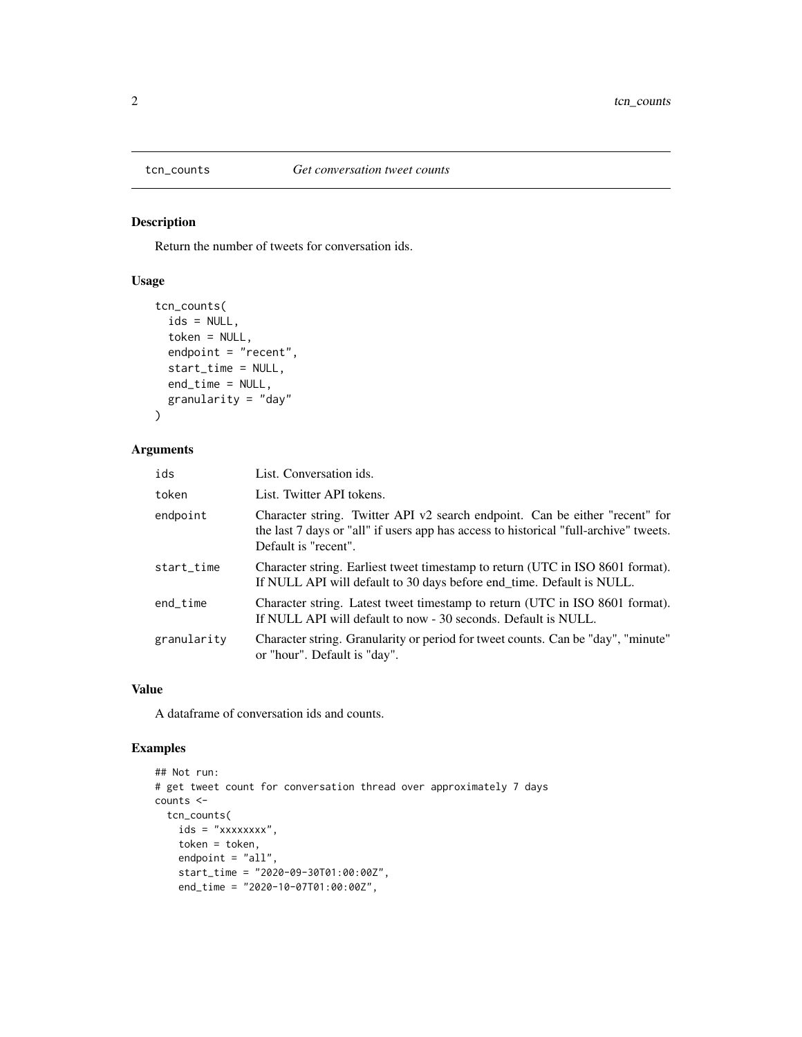<span id="page-1-0"></span>

## Description

Return the number of tweets for conversation ids.

## Usage

```
tcn_counts(
  ids = NULL,token = NULL,
  endpoint = "recent",
  start_time = NULL,
  end_time = NULL,
  granularity = "day"
)
```
## Arguments

| ids         | List. Conversation ids.                                                                                                                                                                       |
|-------------|-----------------------------------------------------------------------------------------------------------------------------------------------------------------------------------------------|
| token       | List. Twitter API tokens.                                                                                                                                                                     |
| endpoint    | Character string. Twitter API v2 search endpoint. Can be either "recent" for<br>the last 7 days or "all" if users app has access to historical "full-archive" tweets.<br>Default is "recent". |
| start_time  | Character string. Earliest tweet timestamp to return (UTC in ISO 8601 format).<br>If NULL API will default to 30 days before end_time. Default is NULL.                                       |
| end_time    | Character string. Latest tweet timestamp to return (UTC in ISO 8601 format).<br>If NULL API will default to now - 30 seconds. Default is NULL.                                                |
| granularity | Character string. Granularity or period for tweet counts. Can be "day", "minute"<br>or "hour". Default is "day".                                                                              |

#### Value

A dataframe of conversation ids and counts.

## Examples

```
## Not run:
# get tweet count for conversation thread over approximately 7 days
counts <-
  tcn_counts(
   ids = "xxxxxxxx",
    token = token,
   endpoint = "all",
   start_time = "2020-09-30T01:00:00Z",
   end_time = "2020-10-07T01:00:00Z",
```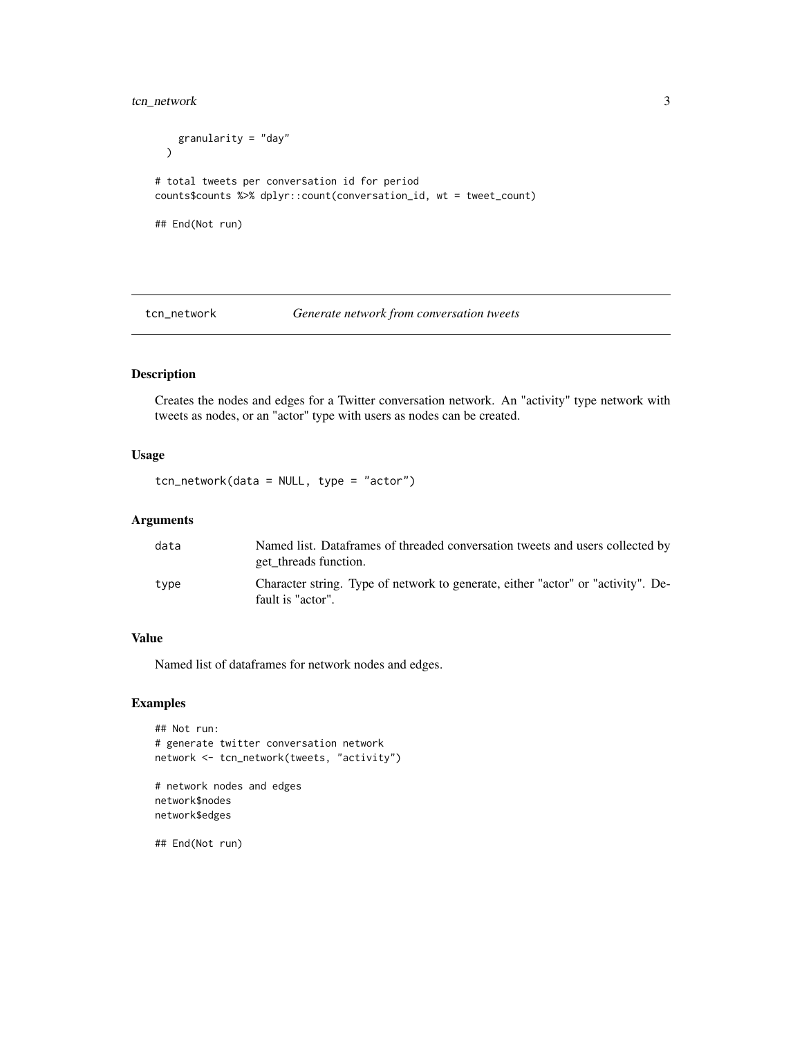## <span id="page-2-0"></span>tcn\_network 3

```
granularity = "day"
 \lambda# total tweets per conversation id for period
counts$counts %>% dplyr::count(conversation_id, wt = tweet_count)
## End(Not run)
```
#### tcn\_network *Generate network from conversation tweets*

## Description

Creates the nodes and edges for a Twitter conversation network. An "activity" type network with tweets as nodes, or an "actor" type with users as nodes can be created.

## Usage

tcn\_network(data = NULL, type = "actor")

#### Arguments

| data | Named list. Dataframes of threaded conversation tweets and users collected by<br>get threads function. |
|------|--------------------------------------------------------------------------------------------------------|
| type | Character string. Type of network to generate, either "actor" or "activity". De-<br>fault is "actor".  |

#### Value

Named list of dataframes for network nodes and edges.

#### Examples

```
## Not run:
# generate twitter conversation network
network <- tcn_network(tweets, "activity")
# network nodes and edges
network$nodes
```
network\$edges

## End(Not run)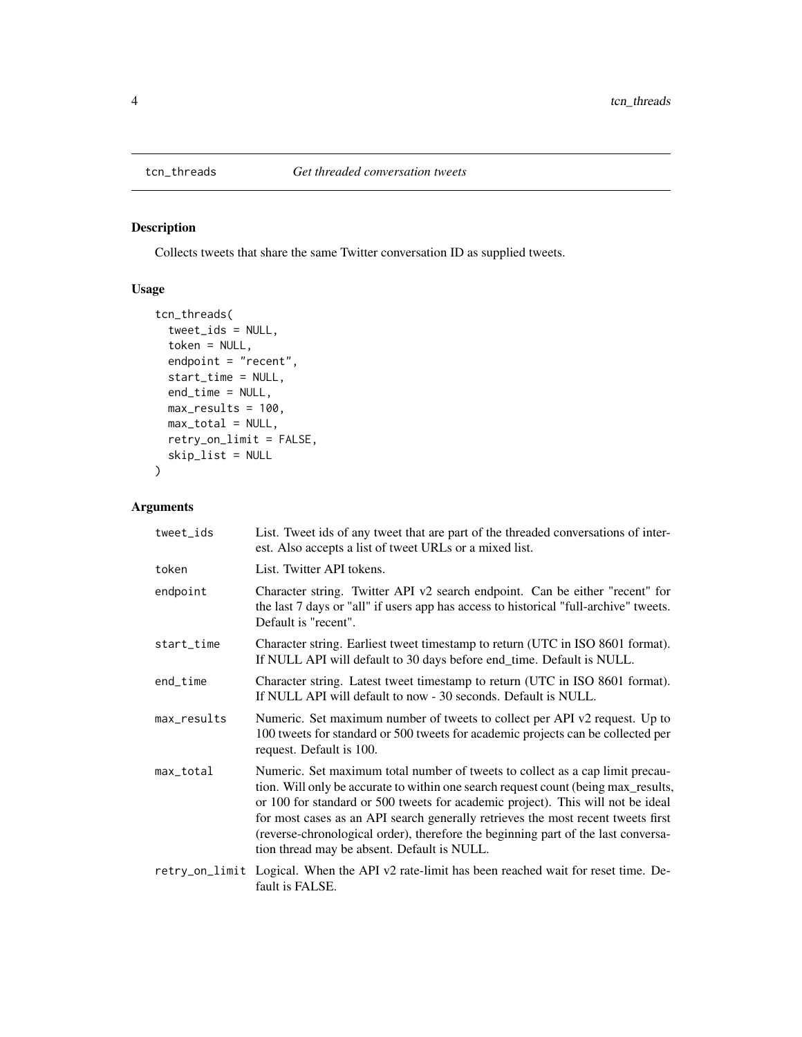<span id="page-3-0"></span>

## Description

Collects tweets that share the same Twitter conversation ID as supplied tweets.

## Usage

```
tcn_threads(
  tweet_ids = NULL,
  token = NULL,
 endpoint = "recent",
 start_time = NULL,
 end_time = NULL,
 max_results = 100,
 max\_total = NULL,retry_on_limit = FALSE,
 skip_list = NULL
)
```
## Arguments

| tweet_ids   | List. Tweet ids of any tweet that are part of the threaded conversations of inter-<br>est. Also accepts a list of tweet URLs or a mixed list.                                                                                                                                                                                                                                                                                                                                  |
|-------------|--------------------------------------------------------------------------------------------------------------------------------------------------------------------------------------------------------------------------------------------------------------------------------------------------------------------------------------------------------------------------------------------------------------------------------------------------------------------------------|
| token       | List. Twitter API tokens.                                                                                                                                                                                                                                                                                                                                                                                                                                                      |
| endpoint    | Character string. Twitter API v2 search endpoint. Can be either "recent" for<br>the last 7 days or "all" if users app has access to historical "full-archive" tweets.<br>Default is "recent".                                                                                                                                                                                                                                                                                  |
| start_time  | Character string. Earliest tweet timestamp to return (UTC in ISO 8601 format).<br>If NULL API will default to 30 days before end_time. Default is NULL.                                                                                                                                                                                                                                                                                                                        |
| end_time    | Character string. Latest tweet timestamp to return (UTC in ISO 8601 format).<br>If NULL API will default to now - 30 seconds. Default is NULL.                                                                                                                                                                                                                                                                                                                                 |
| max_results | Numeric. Set maximum number of tweets to collect per API v2 request. Up to<br>100 tweets for standard or 500 tweets for academic projects can be collected per<br>request. Default is 100.                                                                                                                                                                                                                                                                                     |
| max_total   | Numeric. Set maximum total number of tweets to collect as a cap limit precau-<br>tion. Will only be accurate to within one search request count (being max_results,<br>or 100 for standard or 500 tweets for academic project). This will not be ideal<br>for most cases as an API search generally retrieves the most recent tweets first<br>(reverse-chronological order), therefore the beginning part of the last conversa-<br>tion thread may be absent. Default is NULL. |
|             | retry_on_limit Logical. When the API v2 rate-limit has been reached wait for reset time. De-<br>fault is FALSE.                                                                                                                                                                                                                                                                                                                                                                |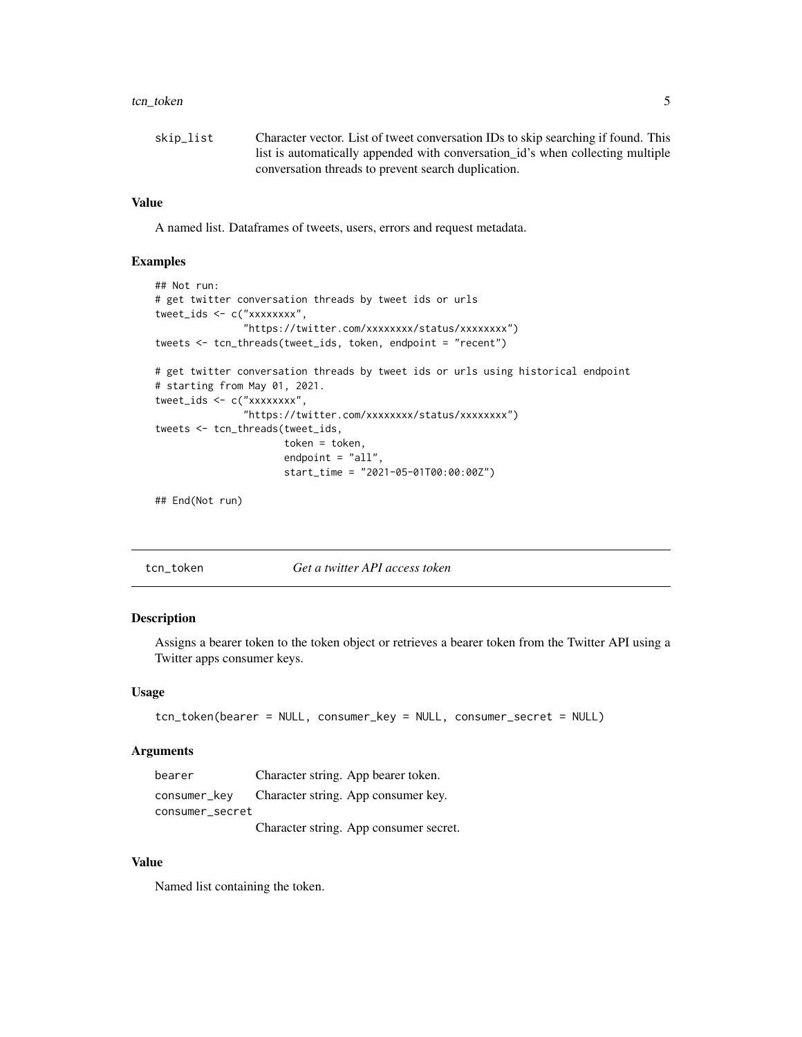#### <span id="page-4-0"></span>tcn\_token 5

| skip_list | Character vector. List of tweet conversation IDs to skip searching if found. This |
|-----------|-----------------------------------------------------------------------------------|
|           | list is automatically appended with conversation_id's when collecting multiple    |
|           | conversation threads to prevent search duplication.                               |

## Value

A named list. Dataframes of tweets, users, errors and request metadata.

#### Examples

```
## Not run:
# get twitter conversation threads by tweet ids or urls
tweet_ids <- c("xxxxxxxx",
               "https://twitter.com/xxxxxxxx/status/xxxxxxxx")
tweets <- tcn_threads(tweet_ids, token, endpoint = "recent")
# get twitter conversation threads by tweet ids or urls using historical endpoint
# starting from May 01, 2021.
tweet_ids <- c("xxxxxxxx",
               "https://twitter.com/xxxxxxxx/status/xxxxxxxx")
tweets <- tcn_threads(tweet_ids,
                      token = token,
                      endpoint = "all",
                      start_time = "2021-05-01T00:00:00Z")
```
## End(Not run)

## Description

Assigns a bearer token to the token object or retrieves a bearer token from the Twitter API using a Twitter apps consumer keys.

#### Usage

```
tcn_token(bearer = NULL, consumer_key = NULL, consumer_secret = NULL)
```
#### Arguments

| bearer          | Character string. App bearer token.              |
|-----------------|--------------------------------------------------|
|                 | consumer_key Character string. App consumer key. |
| consumer_secret |                                                  |
|                 | Character string. App consumer secret.           |

#### Value

Named list containing the token.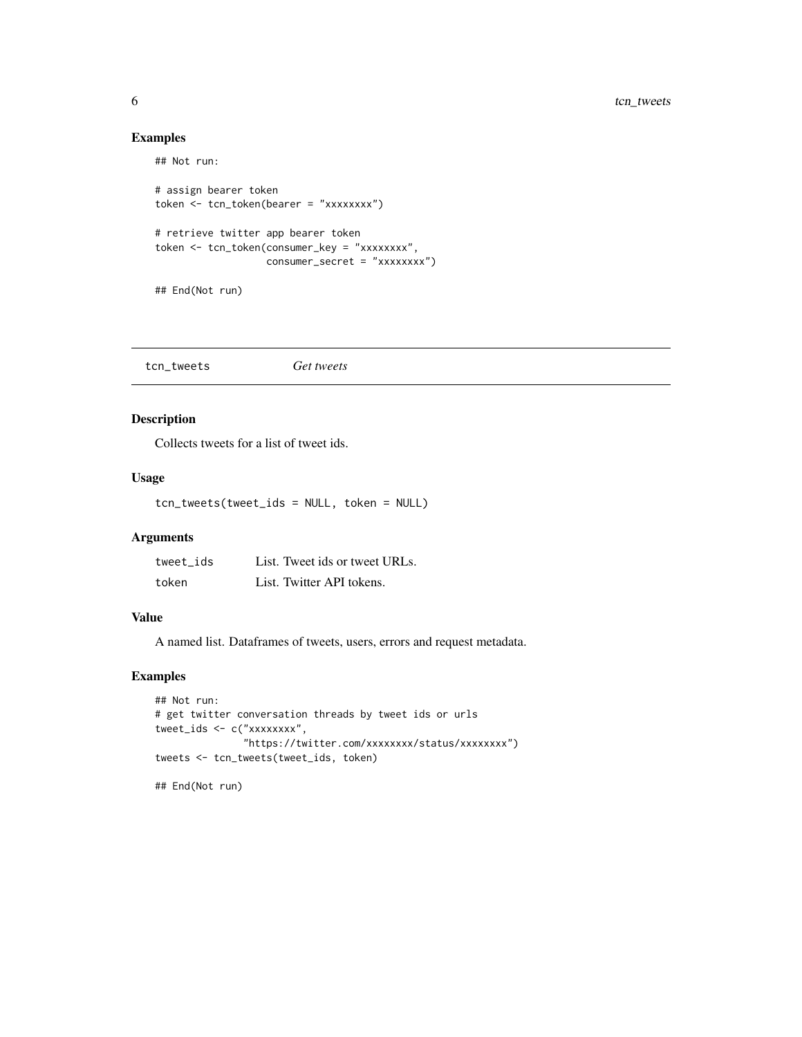## Examples

```
## Not run:
# assign bearer token
token <- tcn_token(bearer = "xxxxxxxx")
# retrieve twitter app bearer token
token <- tcn_token(consumer_key = "xxxxxxxx",
                  consumer_secret = "xxxxxxxx")
## End(Not run)
```

|--|

## Description

Collects tweets for a list of tweet ids.

## Usage

tcn\_tweets(tweet\_ids = NULL, token = NULL)

## Arguments

| tweet ids | List. Tweet ids or tweet URLs. |
|-----------|--------------------------------|
| token     | List. Twitter API tokens.      |

## Value

A named list. Dataframes of tweets, users, errors and request metadata.

## Examples

```
## Not run:
# get twitter conversation threads by tweet ids or urls
tweet_ids <- c("xxxxxxxx",
               "https://twitter.com/xxxxxxxx/status/xxxxxxxx")
tweets <- tcn_tweets(tweet_ids, token)
```
## End(Not run)

<span id="page-5-0"></span>